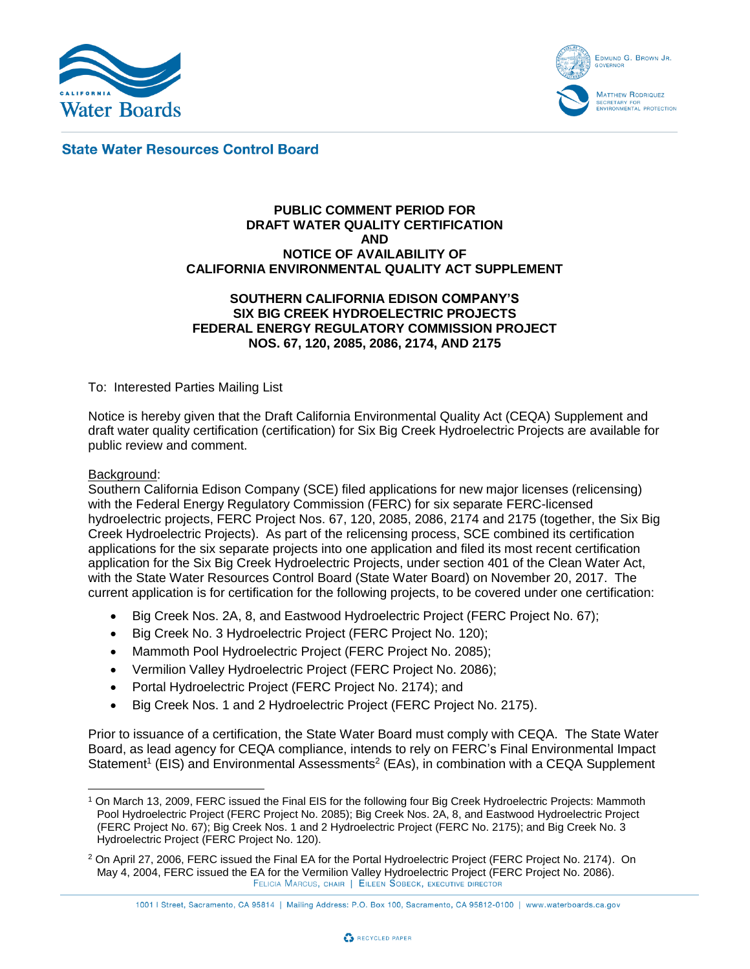



**State Water Resources Control Board** 

#### **PUBLIC COMMENT PERIOD FOR DRAFT WATER QUALITY CERTIFICATION AND NOTICE OF AVAILABILITY OF CALIFORNIA ENVIRONMENTAL QUALITY ACT SUPPLEMENT**

## **SOUTHERN CALIFORNIA EDISON COMPANY'S SIX BIG CREEK HYDROELECTRIC PROJECTS FEDERAL ENERGY REGULATORY COMMISSION PROJECT NOS. 67, 120, 2085, 2086, 2174, AND 2175**

To: Interested Parties Mailing List

Notice is hereby given that the Draft California Environmental Quality Act (CEQA) Supplement and draft water quality certification (certification) for Six Big Creek Hydroelectric Projects are available for public review and comment.

## Background:

Southern California Edison Company (SCE) filed applications for new major licenses (relicensing) with the Federal Energy Regulatory Commission (FERC) for six separate FERC-licensed hydroelectric projects, FERC Project Nos. 67, 120, 2085, 2086, 2174 and 2175 (together, the Six Big Creek Hydroelectric Projects). As part of the relicensing process, SCE combined its certification applications for the six separate projects into one application and filed its most recent certification application for the Six Big Creek Hydroelectric Projects, under section 401 of the Clean Water Act, with the State Water Resources Control Board (State Water Board) on November 20, 2017. The current application is for certification for the following projects, to be covered under one certification:

- Big Creek Nos. 2A, 8, and Eastwood Hydroelectric Project (FERC Project No. 67);
- Big Creek No. 3 Hydroelectric Project (FERC Project No. 120);
- Mammoth Pool Hydroelectric Project (FERC Project No. 2085);
- Vermilion Valley Hydroelectric Project (FERC Project No. 2086);
- Portal Hydroelectric Project (FERC Project No. 2174); and
- Big Creek Nos. 1 and 2 Hydroelectric Project (FERC Project No. 2175).

Prior to issuance of a certification, the State Water Board must comply with CEQA. The State Water Board, as lead agency for CEQA compliance, intends to rely on FERC's Final Environmental Impact Statement<sup>1</sup> (EIS) and Environmental Assessments<sup>2</sup> (EAs), in combination with a CEQA Supplement



 <sup>1</sup> On March 13, 2009, FERC issued the Final EIS for the following four Big Creek Hydroelectric Projects: Mammoth Pool Hydroelectric Project (FERC Project No. 2085); Big Creek Nos. 2A, 8, and Eastwood Hydroelectric Project (FERC Project No. 67); Big Creek Nos. 1 and 2 Hydroelectric Project (FERC No. 2175); and Big Creek No. 3 Hydroelectric Project (FERC Project No. 120).

<sup>&</sup>lt;sup>2</sup> On April 27, 2006, FERC issued the Final EA for the Portal Hydroelectric Project (FERC Project No. 2174). On May 4, 2004, FERC issued the EA for the Vermilion Valley Hydroelectric Project (FERC Project No. 2086).FELICIA MARCUS, CHAIR | EILEEN SOBECK, EXECUTIVE DIRECTOR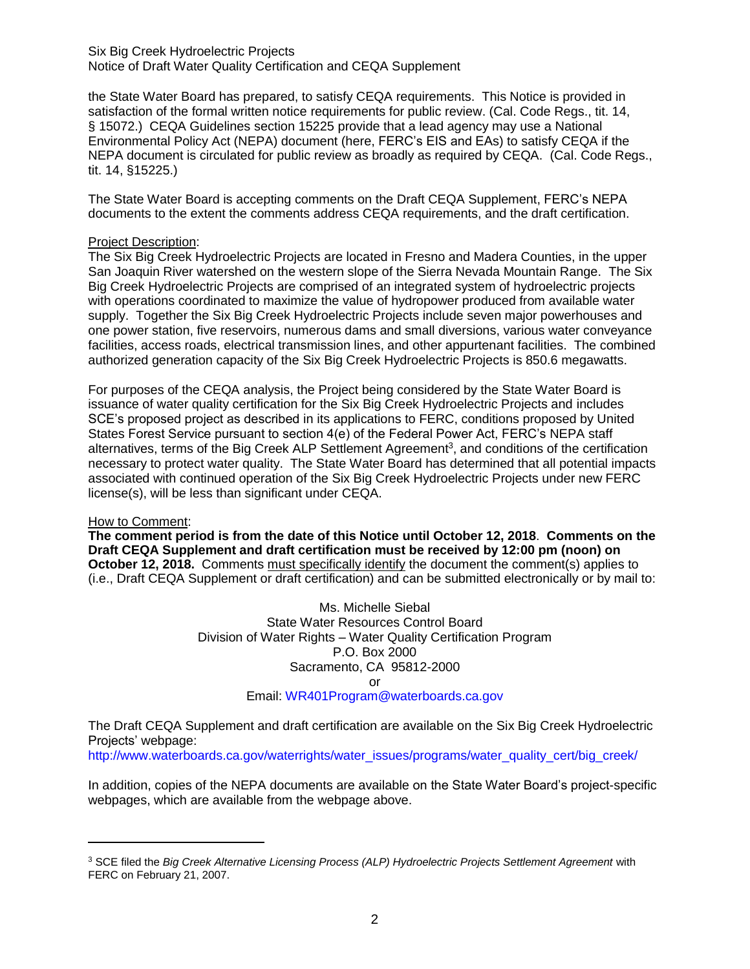Six Big Creek Hydroelectric Projects Notice of Draft Water Quality Certification and CEQA Supplement

the State Water Board has prepared, to satisfy CEQA requirements. This Notice is provided in satisfaction of the formal written notice requirements for public review. (Cal. Code Regs., tit. 14, § 15072.) CEQA Guidelines section 15225 provide that a lead agency may use a National Environmental Policy Act (NEPA) document (here, FERC's EIS and EAs) to satisfy CEQA if the NEPA document is circulated for public review as broadly as required by CEQA. (Cal. Code Regs., tit. 14, §15225.)

The State Water Board is accepting comments on the Draft CEQA Supplement, FERC's NEPA documents to the extent the comments address CEQA requirements, and the draft certification.

## Project Description:

The Six Big Creek Hydroelectric Projects are located in Fresno and Madera Counties, in the upper San Joaquin River watershed on the western slope of the Sierra Nevada Mountain Range. The Six Big Creek Hydroelectric Projects are comprised of an integrated system of hydroelectric projects with operations coordinated to maximize the value of hydropower produced from available water supply. Together the Six Big Creek Hydroelectric Projects include seven major powerhouses and one power station, five reservoirs, numerous dams and small diversions, various water conveyance facilities, access roads, electrical transmission lines, and other appurtenant facilities. The combined authorized generation capacity of the Six Big Creek Hydroelectric Projects is 850.6 megawatts.

For purposes of the CEQA analysis, the Project being considered by the State Water Board is issuance of water quality certification for the Six Big Creek Hydroelectric Projects and includes SCE's proposed project as described in its applications to FERC, conditions proposed by United States Forest Service pursuant to section 4(e) of the Federal Power Act, FERC's NEPA staff alternatives, terms of the Big Creek ALP Settlement Agreement<sup>3</sup>, and conditions of the certification necessary to protect water quality. The State Water Board has determined that all potential impacts associated with continued operation of the Six Big Creek Hydroelectric Projects under new FERC license(s), will be less than significant under CEQA.

## How to Comment:

 $\overline{a}$ 

**The comment period is from the date of this Notice until October 12, 2018**. **Comments on the Draft CEQA Supplement and draft certification must be received by 12:00 pm (noon) on October 12, 2018.** Comments must specifically identify the document the comment(s) applies to (i.e., Draft CEQA Supplement or draft certification) and can be submitted electronically or by mail to:

> Ms. Michelle Siebal State Water Resources Control Board Division of Water Rights – Water Quality Certification Program P.O. Box 2000 Sacramento, CA 95812-2000 or Email: [WR401Program@waterboards.ca.gov](mailto:WR401Program@waterboards.ca.gov)

The Draft CEQA Supplement and draft certification are available on the Six Big Creek Hydroelectric Projects' webpage:

[http://www.waterboards.ca.gov/waterrights/water\\_issues/programs/water\\_quality\\_cert/big\\_creek/](http://www.waterboards.ca.gov/waterrights/water_issues/programs/water_quality_cert/big_creek/)

In addition, copies of the NEPA documents are available on the State Water Board's project-specific webpages, which are available from the webpage above.

<sup>&</sup>lt;sup>3</sup> SCE filed the *Big Creek Alternative Licensing Process (ALP) Hydroelectric Projects Settlement Agreement with* FERC on February 21, 2007.